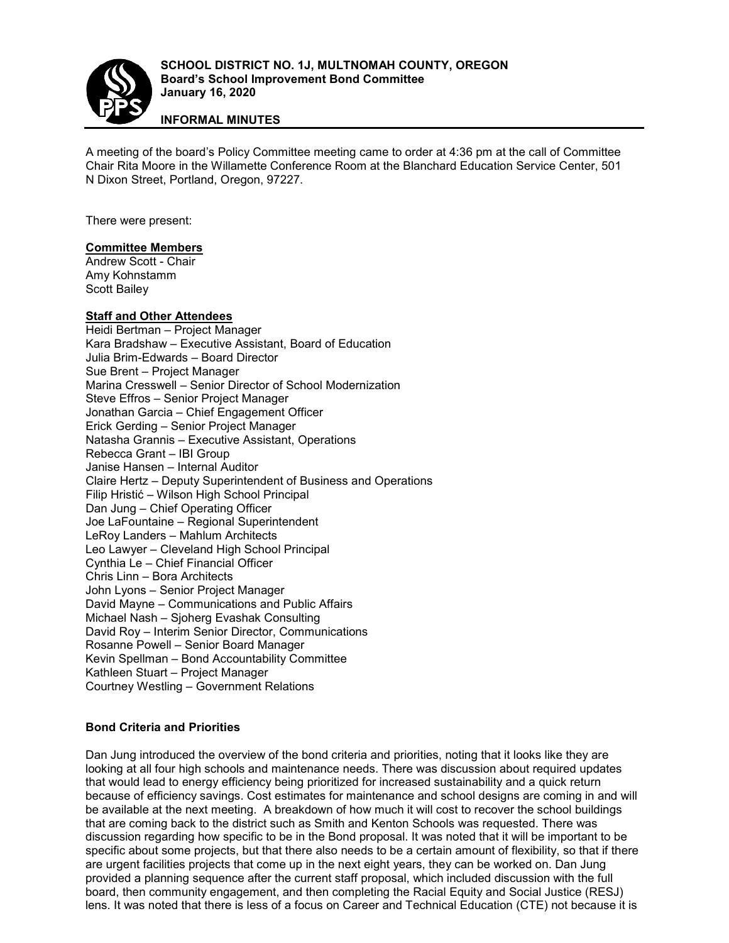

### **INFORMAL MINUTES**

A meeting of the board's Policy Committee meeting came to order at 4:36 pm at the call of Committee Chair Rita Moore in the Willamette Conference Room at the Blanchard Education Service Center, 501 N Dixon Street, Portland, Oregon, 97227.

There were present:

### **Committee Members**

Andrew Scott - Chair Amy Kohnstamm Scott Bailey

#### **Staff and Other Attendees**

Heidi Bertman – Project Manager Kara Bradshaw – Executive Assistant, Board of Education Julia Brim-Edwards – Board Director Sue Brent – Project Manager Marina Cresswell – Senior Director of School Modernization Steve Effros – Senior Project Manager Jonathan Garcia – Chief Engagement Officer Erick Gerding – Senior Project Manager Natasha Grannis – Executive Assistant, Operations Rebecca Grant – IBI Group Janise Hansen – Internal Auditor Claire Hertz – Deputy Superintendent of Business and Operations Filip Hristić – Wilson High School Principal Dan Jung – Chief Operating Officer Joe LaFountaine – Regional Superintendent LeRoy Landers – Mahlum Architects Leo Lawyer – Cleveland High School Principal Cynthia Le – Chief Financial Officer Chris Linn – Bora Architects John Lyons – Senior Project Manager David Mayne – Communications and Public Affairs Michael Nash – Sjoherg Evashak Consulting David Roy – Interim Senior Director, Communications Rosanne Powell – Senior Board Manager Kevin Spellman – Bond Accountability Committee Kathleen Stuart – Project Manager Courtney Westling – Government Relations

# **Bond Criteria and Priorities**

Dan Jung introduced the overview of the bond criteria and priorities, noting that it looks like they are looking at all four high schools and maintenance needs. There was discussion about required updates that would lead to energy efficiency being prioritized for increased sustainability and a quick return because of efficiency savings. Cost estimates for maintenance and school designs are coming in and will be available at the next meeting. A breakdown of how much it will cost to recover the school buildings that are coming back to the district such as Smith and Kenton Schools was requested. There was discussion regarding how specific to be in the Bond proposal. It was noted that it will be important to be specific about some projects, but that there also needs to be a certain amount of flexibility, so that if there are urgent facilities projects that come up in the next eight years, they can be worked on. Dan Jung provided a planning sequence after the current staff proposal, which included discussion with the full board, then community engagement, and then completing the Racial Equity and Social Justice (RESJ) lens. It was noted that there is less of a focus on Career and Technical Education (CTE) not because it is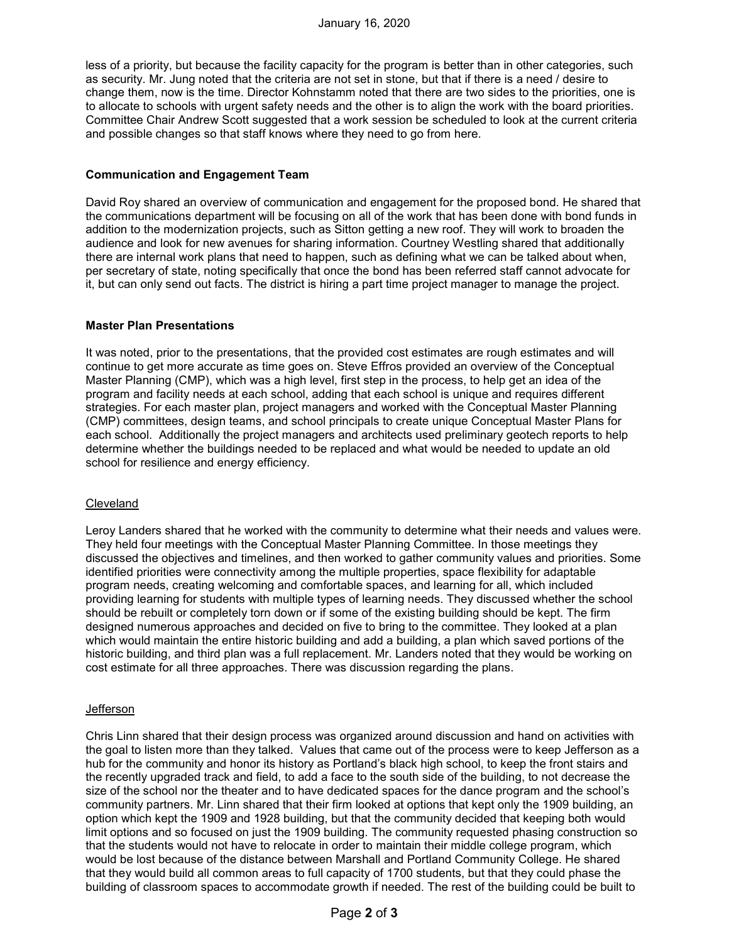less of a priority, but because the facility capacity for the program is better than in other categories, such as security. Mr. Jung noted that the criteria are not set in stone, but that if there is a need / desire to change them, now is the time. Director Kohnstamm noted that there are two sides to the priorities, one is to allocate to schools with urgent safety needs and the other is to align the work with the board priorities. Committee Chair Andrew Scott suggested that a work session be scheduled to look at the current criteria and possible changes so that staff knows where they need to go from here.

### **Communication and Engagement Team**

David Roy shared an overview of communication and engagement for the proposed bond. He shared that the communications department will be focusing on all of the work that has been done with bond funds in addition to the modernization projects, such as Sitton getting a new roof. They will work to broaden the audience and look for new avenues for sharing information. Courtney Westling shared that additionally there are internal work plans that need to happen, such as defining what we can be talked about when, per secretary of state, noting specifically that once the bond has been referred staff cannot advocate for it, but can only send out facts. The district is hiring a part time project manager to manage the project.

# **Master Plan Presentations**

It was noted, prior to the presentations, that the provided cost estimates are rough estimates and will continue to get more accurate as time goes on. Steve Effros provided an overview of the Conceptual Master Planning (CMP), which was a high level, first step in the process, to help get an idea of the program and facility needs at each school, adding that each school is unique and requires different strategies. For each master plan, project managers and worked with the Conceptual Master Planning (CMP) committees, design teams, and school principals to create unique Conceptual Master Plans for each school. Additionally the project managers and architects used preliminary geotech reports to help determine whether the buildings needed to be replaced and what would be needed to update an old school for resilience and energy efficiency.

### **Cleveland**

Leroy Landers shared that he worked with the community to determine what their needs and values were. They held four meetings with the Conceptual Master Planning Committee. In those meetings they discussed the objectives and timelines, and then worked to gather community values and priorities. Some identified priorities were connectivity among the multiple properties, space flexibility for adaptable program needs, creating welcoming and comfortable spaces, and learning for all, which included providing learning for students with multiple types of learning needs. They discussed whether the school should be rebuilt or completely torn down or if some of the existing building should be kept. The firm designed numerous approaches and decided on five to bring to the committee. They looked at a plan which would maintain the entire historic building and add a building, a plan which saved portions of the historic building, and third plan was a full replacement. Mr. Landers noted that they would be working on cost estimate for all three approaches. There was discussion regarding the plans.

### Jefferson

Chris Linn shared that their design process was organized around discussion and hand on activities with the goal to listen more than they talked. Values that came out of the process were to keep Jefferson as a hub for the community and honor its history as Portland's black high school, to keep the front stairs and the recently upgraded track and field, to add a face to the south side of the building, to not decrease the size of the school nor the theater and to have dedicated spaces for the dance program and the school's community partners. Mr. Linn shared that their firm looked at options that kept only the 1909 building, an option which kept the 1909 and 1928 building, but that the community decided that keeping both would limit options and so focused on just the 1909 building. The community requested phasing construction so that the students would not have to relocate in order to maintain their middle college program, which would be lost because of the distance between Marshall and Portland Community College. He shared that they would build all common areas to full capacity of 1700 students, but that they could phase the building of classroom spaces to accommodate growth if needed. The rest of the building could be built to